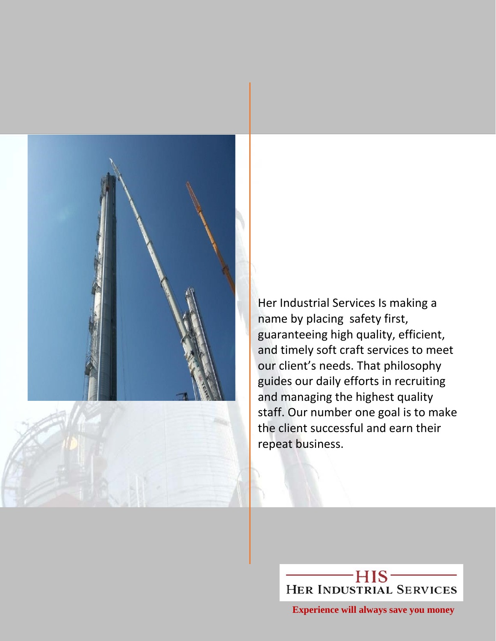

Her Industrial Services Is making a name by placing safety first, guaranteeing high quality, efficient, and timely soft craft services to meet our client's needs. That philosophy guides our daily efforts in recruiting and managing the highest quality staff. Our number one goal is to make the client successful and earn their repeat business.

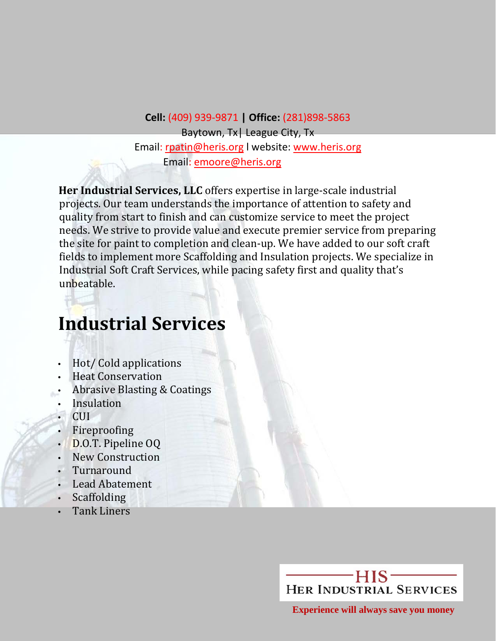**Cell:** (409) 939-9871 **| Office:** (281)898-5863 Baytown, Tx| League City, Tx Email: rpatin@heris.org l website: [www.heris.org](http://www.heris.org/) Email: emoore@heris.org

**Her Industrial Services, LLC** offers expertise in large-scale industrial projects. Our team understands the importance of attention to safety and quality from start to finish and can customize service to meet the project needs. We strive to provide value and execute premier service from preparing the site for paint to completion and clean-up. We have added to our soft craft fields to implement more Scaffolding and Insulation projects. We specialize in Industrial Soft Craft Services, while pacing safety first and quality that's unbeatable.

### **Industrial Services**

- Hot/ Cold applications
- Heat Conservation
- Abrasive Blasting & Coatings
- **Insulation**
- CUI
- **Fireproofing**
- D.O.T. Pipeline OQ
- New Construction
- Turnaround
- Lead Abatement
- **Scaffolding**
- Tank Liners

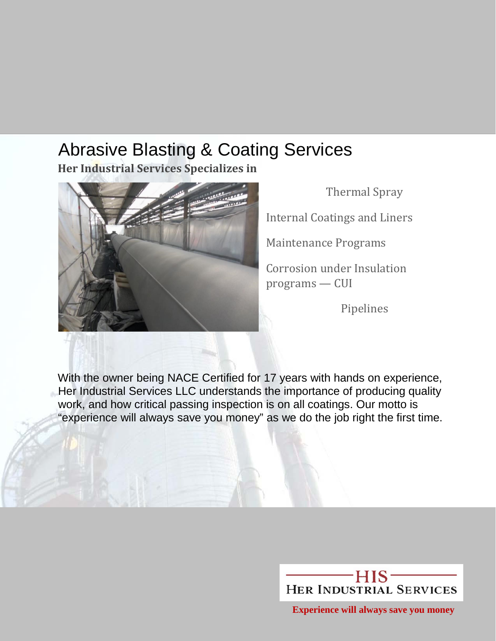## Abrasive Blasting & Coating Services

**Her Industrial Services Specializes in**



Thermal Spray

Internal Coatings and Liners

Maintenance Programs

Corrosion under Insulation programs — CUI

Pipelines

With the owner being NACE Certified for 17 years with hands on experience, Her Industrial Services LLC understands the importance of producing quality work, and how critical passing inspection is on all coatings. Our motto is "experience will always save you money" as we do the job right the first time.

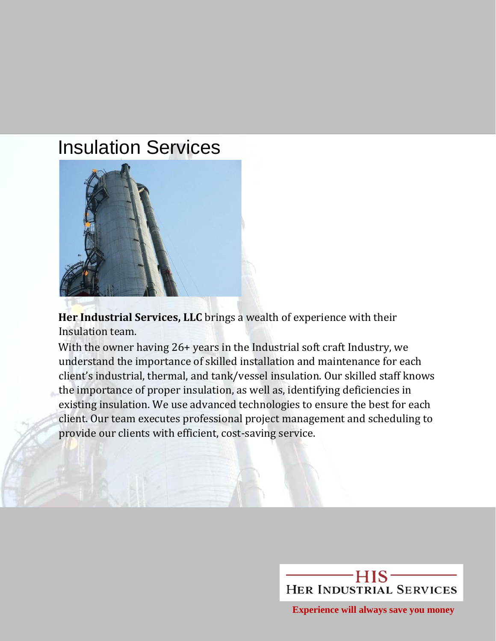### Insulation Services



**Her Industrial Services, LLC** brings a wealth of experience with their Insulation team.

With the owner having 26+ years in the Industrial soft craft Industry, we understand the importance of skilled installation and maintenance for each client's industrial, thermal, and tank/vessel insulation. Our skilled staff knows the importance of proper insulation, as well as, identifying deficiencies in existing insulation. We use advanced technologies to ensure the best for each client. Our team executes professional project management and scheduling to provide our clients with efficient, cost-saving service.

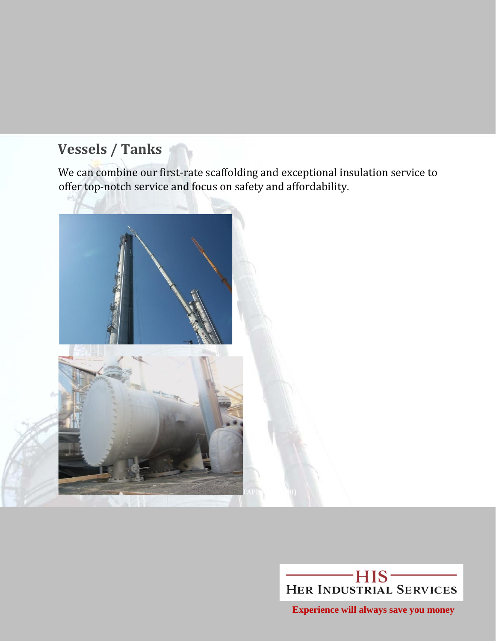#### **Vessels / Tanks**

We can combine our first-rate scaffolding and exceptional insulation service to offer top-notch service and focus on safety and affordability.



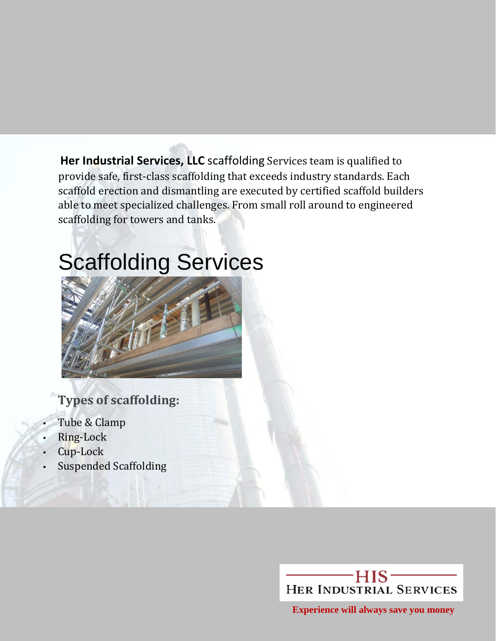**Her Industrial Services, LLC** scaffolding Services team is qualified to provide safe, first-class scaffolding that exceeds industry standards. Each scaffold erection and dismantling are executed by certified scaffold builders able to meet specialized challenges. From small roll around to engineered scaffolding for towers and tanks.

# Scaffolding Services



#### **Types of scaffolding:**

- Tube & Clamp
- Ring-Lock
- Cup-Lock
- Suspended Scaffolding

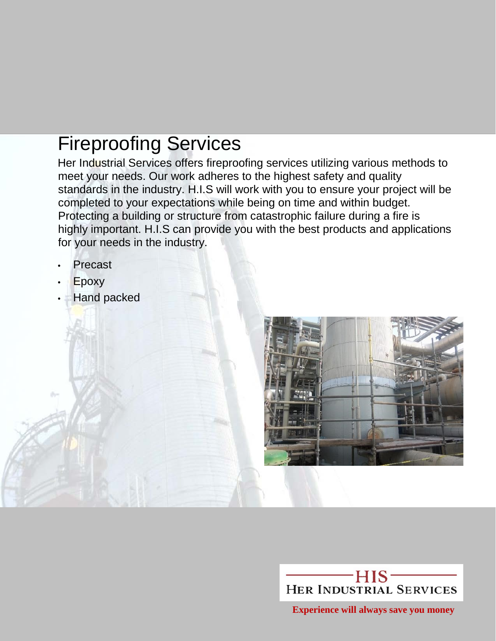## Fireproofing Services

Her Industrial Services offers fireproofing services utilizing various methods to meet your needs. Our work adheres to the highest safety and quality standards in the industry. H.I.S will work with you to ensure your project will be completed to your expectations while being on time and within budget. Protecting a building or structure from catastrophic failure during a fire is highly important. H.I.S can provide you with the best products and applications for your needs in the industry.

- **Precast**
- **E**poxy
- Hand packed